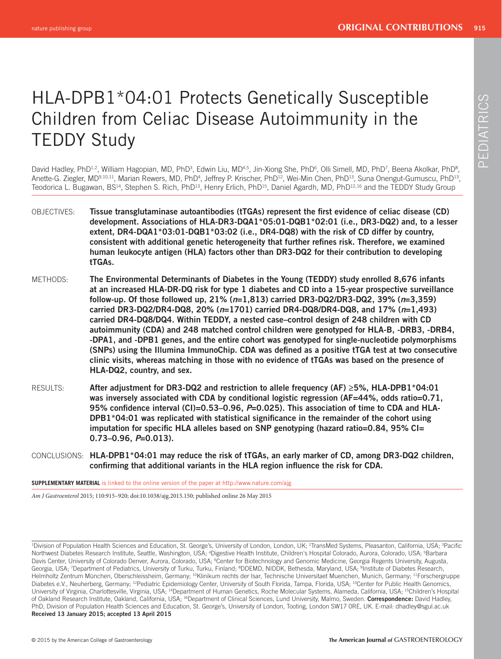# PEDIATRICS PEDIATRICS

## HLA-DPB1\*04:01 Protects Genetically Susceptible Children from Celiac Disease Autoimmunity in the TEDDY Study

David Hadley, PhD<sup>1,2</sup>, William Hagopian, MD, PhD<sup>3</sup>, Edwin Liu, MD<sup>4,5</sup>, Jin-Xiong She, PhD<sup>6</sup>, Olli Simell, MD, PhD<sup>7</sup>, Beena Akolkar, PhD<sup>8</sup>, Anette-G. Ziegler, MD<sup>9,10,11</sup>, Marian Rewers, MD, PhD<sup>4</sup>, Jeffrey P. Krischer, PhD<sup>12</sup>, Wei-Min Chen, PhD<sup>13</sup>, Suna Onengut-Gumuscu, PhD<sup>13</sup>, Teodorica L. Bugawan, BS<sup>14</sup>, Stephen S. Rich, PhD<sup>13</sup>, Henry Erlich, PhD<sup>15</sup>, Daniel Agardh, MD, PhD<sup>12, 16</sup> and the TEDDY Study Group

- OBJECTIVES: Tissue transglutaminase autoantibodies (tTGAs) represent the first evidence of celiac disease (CD) **development. Associations of HLA-DR3-DQA1\*05:01-DQB1\*02:01 (i.e., DR3-DQ2) and, to a lesser extent, DR4-DQA1\*03:01-DQB1\*03:02 (i.e., DR4-DQ8) with the risk of CD differ by country,**  consistent with additional genetic heterogeneity that further refines risk. Therefore, we examined **human leukocyte antigen (HLA) factors other than DR3-DQ2 for their contribution to developing tTGAs.**
- METHODS: **The Environmental Determinants of Diabetes in the Young (TEDDY) study enrolled 8,676 infants at an increased HLA-DR-DQ risk for type 1 diabetes and CD into a 15-year prospective surveillance follow-up. Of those followed up, 21% (** *n***=1,813) carried DR3-DQ2/DR3-DQ2, 39% (** *n***=3,359) carried DR3-DQ2/DR4-DQ8, 20% (** *n***=1701) carried DR4-DQ8/DR4-DQ8, and 17% (** *n***=1,493) carried DR4-DQ8/DQ4. Within TEDDY, a nested case–control design of 248 children with CD autoimmunity (CDA) and 248 matched control children were genotyped for HLA-B, -DRB3, -DRB4, -DPA1, and -DPB1 genes, and the entire cohort was genotyped for single-nucleotide polymorphisms**  (SNPs) using the Illumina ImmunoChip. CDA was defined as a positive tTGA test at two consecutive **clinic visits, whereas matching in those with no evidence of tTGAs was based on the presence of HLA-DQ2, country, and sex.**
- RESULTS: **After adjustment for DR3-DQ2 and restriction to allele frequency (AF) ≥5%, HLA-DPB1\*04:01 was inversely associated with CDA by conditional logistic regression (AF=44%, odds ratio=0.71,**  95% confidence interval (CI)=0.53–0.96, P=0.025). This association of time to CDA and HLA-DPB1\*04:01 was replicated with statistical significance in the remainder of the cohort using **imputation for specific HLA alleles based on SNP genotyping (hazard ratio=0.84, 95% CI= 0.73–0.96,** *P***=0.013).**
- CONCLUSIONS: **HLA-DPB1\*04:01 may reduce the risk of tTGAs, an early marker of CD, among DR3-DQ2 children,**  confirming that additional variants in the HLA region influence the risk for CDA.

**SUPPLEMENTARY MATERIAL** is linked to the online version of the paper at http://www.nature.com/ajg

*Am J Gastroenterol* 2015; 110:915–920; doi: 10.1038/ajg.2015.150; published online 26 May 2015

<sup>1</sup>Division of Population Health Sciences and Education, St. George's, University of London, London, UK; <sup>2</sup>TransMed Systems, Pleasanton, California, USA; <sup>3</sup>Pacific Northwest Diabetes Research Institute, Seattle, Washington, USA; <sup>4</sup>Digestive Health Institute, Children's Hospital Colorado, Aurora, Colorado, USA; <sup>5</sup>Barbara Davis Center, University of Colorado Denver, Aurora, Colorado, USA; <sup>6</sup>Center for Biotechnology and Genomic Medicine, Georgia Regents University, Augusta, Georgia, USA; <sup>7</sup>Department of Pediatrics, University of Turku, Turku, Finland; <sup>8</sup>DDEMD, NIDDK, Bethesda, Maryland, USA; <sup>9</sup>Institute of Diabetes Research, Helmholtz Zentrum München, Oberschleissheim, Germany: <sup>10</sup>Klinikum rechts der Isar, Technische Universitaet Muenchen, Munich, Germany: <sup>11</sup>Forschergruppe Diabetes e.V., Neuherberg, Germany; <sup>12</sup>Pediatric Epidemiology Center, University of South Florida, Tampa, Florida, USA; <sup>13</sup>Center for Public Health Genomics, University of Virginia, Charlottesville, Virginia, USA; <sup>14</sup>Department of Human Genetics, Roche Molecular Systems, Alameda, California, USA; <sup>15</sup>Children's Hospital of Oakland Research Institute , Oakland , California , USA ; 16Department of Clinical Sciences, Lund University , Malmo , Sweden . **Correspondence:** David Hadley, PhD, Division of Population Health Sciences and Education, St. George's, University of London, Tooting, London SW17 ORE, UK. E-mail: dhadley@sgul.ac.uk **Received 13 January 2015 ; accepted 13 April 2015**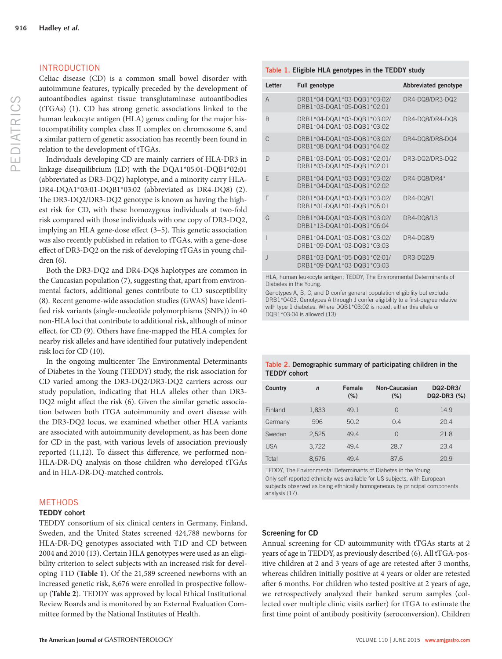#### INTRODUCTION

Celiac disease  $(CD)$  is a common small bowel disorder  $\nu$ autoimmune features, typically preceded by the development of autoantibodies against tissue transglutaminase autoantibodies (tTGAs) (1). CD has strong genetic associations linked to the human leukocyte antigen (HLA) genes coding for the major histocompatibility complex class II complex on chromosome 6, and a similar pattern of genetic association has recently been found in relation to the development of tTGAs.

 Individuals developing CD are mainly carriers of HLA-DR3 in linkage disequilibrium (LD) with the DQA1\*05:01-DQB1\*02:01 (abbreviated as DR3-DQ2) haplotype, and a minority carry HLA-DR4-DQA1\*03:01-DQB1\*03:02 (abbreviated as DR4-DQ8) (2). The DR3-DQ2/DR3-DQ2 genotype is known as having the highest risk for CD, with these homozygous individuals at two-fold risk compared with those individuals with one copy of DR3-DQ2, implying an HLA gene-dose effect  $(3-5)$ . This genetic association was also recently published in relation to tTGAs, with a gene-dose effect of DR3-DQ2 on the risk of developing tTGAs in young children  $(6)$ .

 Both the DR3-DQ2 and DR4-DQ8 haplotypes are common in the Caucasian population  $(7)$ , suggesting that, apart from environmental factors, additional genes contribute to CD susceptibility (8). Recent genome-wide association studies (GWAS) have identified risk variants (single-nucleotide polymorphisms (SNPs)) in 40 non-HLA loci that contribute to additional risk, although of minor effect, for CD (9). Others have fine-mapped the HLA complex for nearby risk alleles and have identified four putatively independent risk loci for CD (10).

In the ongoing multicenter The Environmental Determinants of Diabetes in the Young (TEDDY) study, the risk association for CD varied among the DR3-DQ2/DR3-DQ2 carriers across our study population, indicating that HLA alleles other than DR3- DQ2 might affect the risk (6). Given the similar genetic association between both tTGA autoimmunity and overt disease with the DR3-DQ2 locus, we examined whether other HLA variants are associated with autoimmunity development, as has been done for CD in the past, with various levels of association previously reported  $(11,12)$ . To dissect this difference, we performed non-HLA-DR-DQ analysis on those children who developed tTGAs and in HLA-DR-DQ-matched controls.

#### METHODS

#### **TEDDY cohort**

 TEDDY consortium of six clinical centers in Germany, Finland, Sweden, and the United States screened 424,788 newborns for HLA-DR-DQ genotypes associated with T1D and CD between 2004 and 2010 (13). Certain HLA genotypes were used as an eligibility criterion to select subjects with an increased risk for developing T1D (Table 1). Of the 21,589 screened newborns with an increased genetic risk, 8,676 were enrolled in prospective followup ( **Table 2** ). TEDDY was approved by local Ethical Institutional Review Boards and is monitored by an External Evaluation Committee formed by the National Institutes of Health.

|      | Table 1. Eligible HLA genotypes in the TEDDY study |  |
|------|----------------------------------------------------|--|
| with |                                                    |  |

| Letter         | <b>Full genotype</b>                                      | <b>Abbreviated genotype</b> |
|----------------|-----------------------------------------------------------|-----------------------------|
| $\overline{A}$ | DRB1*04-DQA1*03-DQB1*03:02/<br>DRB1*03-DQA1*05-DQB1*02:01 | DR4-DQ8/DR3-DQ2             |
| <sub>R</sub>   | DRB1*04-DQA1*03-DQB1*03:02/<br>DRB1*04-DQA1*03-DQB1*03:02 | DR4-DQ8/DR4-DQ8             |
| C              | DRB1*04-DQA1*03-DQB1*03:02/<br>DRB1*08-DQA1*04-DQB1*04:02 | DR4-DQ8/DR8-DQ4             |
| D              | DRB1*03-DQA1*05-DQB1*02:01/<br>DRB1*03-DQA1*05-DQB1*02:01 | DR3-DQ2/DR3-DQ2             |
| F              | DRB1*04-DQA1*03-DQB1*03:02/<br>DRB1*04-DQA1*03-DQB1*02:02 | DR4-DQ8/DR4*                |
| F              | DRB1*04-DQA1*03-DQB1*03:02/<br>DRB1*01-DQA1*01-DQB1*05:01 | <b>DR4-DQ8/1</b>            |
| G              | DRB1*04-DQA1*03-DQB1*03:02/<br>DRB1*13-DQA1*01-DQB1*06:04 | DR4-DQ8/13                  |
| ı              | DRB1*04-DQA1*03-DQB1*03:02/<br>DRB1*09-DQA1*03-DQB1*03:03 | <b>DR4-DQ8/9</b>            |
| $\mathbf{J}$   | DRB1*03-DQA1*05-DQB1*02:01/<br>DRB1*09-DQA1*03-DQB1*03:03 | <b>DR3-DQ2/9</b>            |
|                |                                                           |                             |

HLA, human leukocyte antigen; TEDDY, The Environmental Determinants of Diabetes in the Young.

Genotypes A, B, C, and D confer general population eligibility but exclude DRB1\*0403. Genotypes A through J confer eligibility to a first-degree relative with type 1 diabetes. Where DQB1\*03:02 is noted, either this allele or DQB1\*03:04 is allowed (13).

#### **Table 2 . Demographic summary of participating children in the TEDDY cohort**

| Country    | $\mathbf n$ | Female<br>$(\% )$ | <b>Non-Caucasian</b><br>$(\% )$ | <b>DQ2-DR3/</b><br>DQ2-DR3 (%) |
|------------|-------------|-------------------|---------------------------------|--------------------------------|
| Finland    | 1.833       | 49.1              | $\Omega$                        | 14.9                           |
| Germany    | 596         | 50.2              | 0.4                             | 20.4                           |
| Sweden     | 2.525       | 49.4              | $\Omega$                        | 21.8                           |
| <b>USA</b> | 3.722       | 49.4              | 28.7                            | 23.4                           |
| Total      | 8.676       | 49.4              | 87.6                            | 20.9                           |

TEDDY, The Environmental Determinants of Diabetes in the Young. Only self-reported ethnicity was available for US subjects, with European subjects observed as being ethnically homogeneous by principal components analysis (17).

#### **Screening for CD**

 Annual screening for CD autoimmunity with tTGAs starts at 2 years of age in TEDDY, as previously described (6). All tTGA-positive children at 2 and 3 years of age are retested after 3 months, whereas children initially positive at 4 years or older are retested after 6 months. For children who tested positive at 2 years of age, we retrospectively analyzed their banked serum samples (collected over multiple clinic visits earlier) for tTGA to estimate the first time point of antibody positivity (seroconversion). Children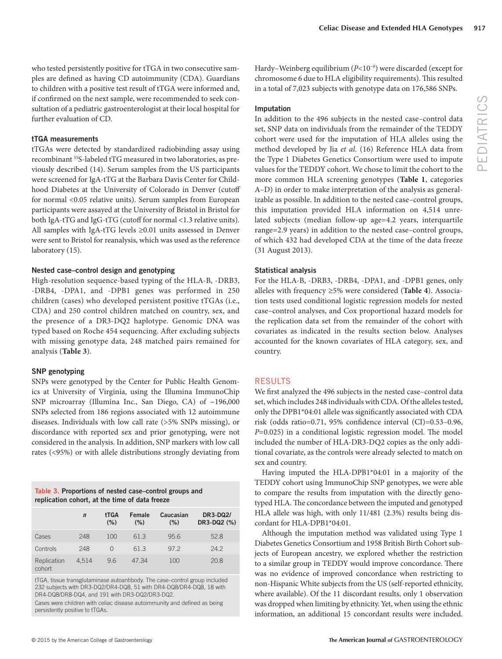who tested persistently positive for tTGA in two consecutive samples are defined as having CD autoimmunity (CDA). Guardians to children with a positive test result of tTGA were informed and, if confirmed on the next sample, were recommended to seek consultation of a pediatric gastroenterologist at their local hospital for further evaluation of CD.

#### **tTGA measurements**

 tTGAs were detected by standardized radiobinding assay using recombinant 35 S-labeled tTG measured in two laboratories, as previously described (14). Serum samples from the US participants were screened for IgA-tTG at the Barbara Davis Center for Childhood Diabetes at the University of Colorado in Denver (cutoff for normal <0.05 relative units). Serum samples from European participants were assayed at the University of Bristol in Bristol for both IgA-tTG and IgG-tTG (cutoff for normal <1.3 relative units). All samples with IgA-tTG levels ≥0.01 units assessed in Denver were sent to Bristol for reanalysis, which was used as the reference laboratory (15).

#### **Nested case–control design and genotyping**

 High-resolution sequence-based typing of the HLA-B, -DRB3, -DRB4, -DPA1, and -DPB1 genes was performed in 250 children (cases) who developed persistent positive tTGAs (i.e., CDA) and 250 control children matched on country, sex, and the presence of a DR3-DQ2 haplotype. Genomic DNA was typed based on Roche 454 sequencing. After excluding subjects with missing genotype data, 248 matched pairs remained for analysis ( **Table 3** ).

#### **SNP genotyping**

 SNPs were genotyped by the Center for Public Health Genomics at University of Virginia, using the Illumina ImmunoChip SNP microarray (Illumina Inc., San Diego, CA) of ~196,000 SNPs selected from 186 regions associated with 12 autoimmune diseases. Individuals with low call rate (>5% SNPs missing), or discordance with reported sex and prior genotyping, were not considered in the analysis. In addition, SNP markers with low call rates (<95%) or with allele distributions strongly deviating from

#### Table 3. Proportions of nested case-control groups and **replication cohort, at the time of data freeze**

|                       | $\mathbf n$ | <b>tTGA</b><br>(%) | Female<br>$(\% )$ | Caucasian<br>$(\% )$ | <b>DR3-DQ2/</b><br>DR3-DQ2 (%) |
|-----------------------|-------------|--------------------|-------------------|----------------------|--------------------------------|
| Cases                 | 248         | 100                | 61.3              | 95.6                 | 52.8                           |
| Controls              | 248         | $\Omega$           | 61.3              | 97.2                 | 24.2                           |
| Replication<br>cohort | 4.514       | 9.6                | 47.34             | 100                  | 20.8                           |

tTGA, tissue transglutaminase autoantibody. The case–control group included 232 subjects with DR3-DQ2/DR4-DQ8, 51 with DR4-DQ8/DR4-DQ8, 18 with DR4-DQ8/DR8-DQ4, and 191 with DR3-DQ2/DR3-DQ2.

Cases were children with celiac disease autoimmunity and defined as being persistently positive to tTGAs.

Hardy–Weinberg equilibrium ( $P$ <10<sup>-6</sup>) were discarded (except for chromosome 6 due to HLA eligibility requirements). This resulted in a total of 7,023 subjects with genotype data on 176,586 SNPs.

#### **Imputation**

 In addition to the 496 subjects in the nested case–control data set, SNP data on individuals from the remainder of the TEDDY cohort were used for the imputation of HLA alleles using the method developed by Jia et al. (16) Reference HLA data from the Type 1 Diabetes Genetics Consortium were used to impute values for the TEDDY cohort. We chose to limit the cohort to the more common HLA screening genotypes (Table 1, categories A–D) in order to make interpretation of the analysis as generalizable as possible. In addition to the nested case–control groups, this imputation provided HLA information on 4,514 unrelated subjects (median follow-up age=4.2 years, interquartile range=2.9 years) in addition to the nested case–control groups, of which 432 had developed CDA at the time of the data freeze (31 August 2013).

#### **Statistical analysis**

 For the HLA-B, -DRB3, -DRB4, -DPA1, and -DPB1 genes, only alleles with frequency ≥5% were considered (**Table 4**). Association tests used conditional logistic regression models for nested case–control analyses, and Cox proportional hazard models for the replication data set from the remainder of the cohort with covariates as indicated in the results section below. Analyses accounted for the known covariates of HLA category, sex, and country.

#### RESULTS

We first analyzed the 496 subjects in the nested case-control data set, which includes 248 individuals with CDA. Of the alleles tested, only the DPB1\*04:01 allele was significantly associated with CDA risk (odds ratio=0.71, 95% confidence interval  $(CI)$ =0.53-0.96, *P*=0.025) in a conditional logistic regression model. The model included the number of HLA-DR3-DQ2 copies as the only additional covariate, as the controls were already selected to match on sex and country.

 Having imputed the HLA-DPB1\*04:01 in a majority of the TEDDY cohort using ImmunoChip SNP genotypes, we were able to compare the results from imputation with the directly genotyped HLA. The concordance between the imputed and genotyped HLA allele was high, with only 11/481 (2.3%) results being discordant for HLA-DPB1\*04:01.

 Although the imputation method was validated using Type 1 Diabetes Genetics Consortium and 1958 British Birth Cohort subjects of European ancestry, we explored whether the restriction to a similar group in TEDDY would improve concordance. There was no evidence of improved concordance when restricting to non-Hispanic White subjects from the US (self-reported ethnicity, where available). Of the 11 discordant results, only 1 observation was dropped when limiting by ethnicity. Yet, when using the ethnic information, an additional 15 concordant results were included.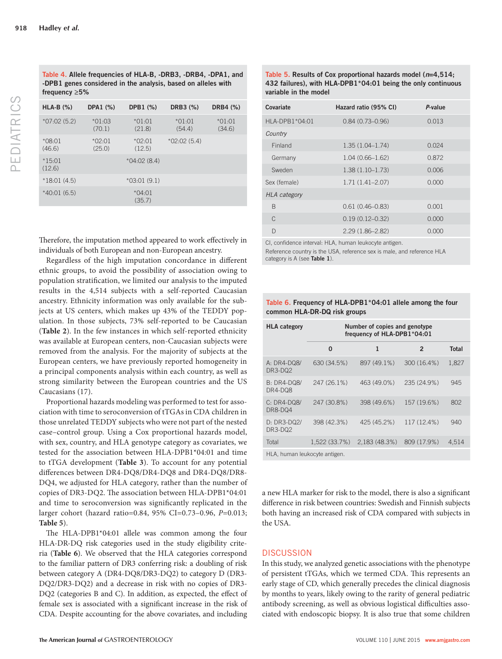| $HLA-B$ (%)        | DPA1 (%)           | DPB1 (%)           | DRB3 (%)           | DRB4 (%)           |
|--------------------|--------------------|--------------------|--------------------|--------------------|
| $*07:02(5.2)$      | $*01:03$<br>(70.1) | $*01:01$<br>(21.8) | $*01:01$<br>(54.4) | $*01:01$<br>(34.6) |
| $*08:01$<br>(46.6) | $*02:01$<br>(25.0) | $*02:01$<br>(12.5) | $*02:02(5.4)$      |                    |
| $*15.01$<br>(12.6) |                    | $*04:02(8.4)$      |                    |                    |
| $*18:01(4.5)$      |                    | $*03:01(9.1)$      |                    |                    |
| $*40:01(6.5)$      |                    | $*04:01$<br>(35.7) |                    |                    |

Therefore, the imputation method appeared to work effectively in individuals of both European and non-European ancestry.

Regardless of the high imputation concordance in different ethnic groups, to avoid the possibility of association owing to population stratification, we limited our analysis to the imputed results in the 4,514 subjects with a self-reported Caucasian ancestry. Ethnicity information was only available for the subjects at US centers, which makes up 43% of the TEDDY population. In those subjects, 73% self-reported to be Caucasian ( **Table 2** ). In the few instances in which self-reported ethnicity was available at European centers, non-Caucasian subjects were removed from the analysis. For the majority of subjects at the European centers, we have previously reported homogeneity in a principal components analysis within each country, as well as strong similarity between the European countries and the US Caucasians (17).

 Proportional hazards modeling was performed to test for association with time to seroconversion of tTGAs in CDA children in those unrelated TEDDY subjects who were not part of the nested case–control group. Using a Cox proportional hazards model, with sex, country, and HLA genotype category as covariates, we tested for the association between HLA-DPB1\*04:01 and time to tTGA development ( **Table 3** ). To account for any potential differences between DR4-DQ8/DR4-DQ8 and DR4-DQ8/DR8-DQ4, we adjusted for HLA category, rather than the number of copies of DR3-DQ2. The association between HLA-DPB1\*04:01 and time to seroconversion was significantly replicated in the larger cohort (hazard ratio=0.84, 95% CI=0.73–0.96, *P* =0.013; **Table 5** ).

The HLA-DPB1 $*04:01$  allele was common among the four HLA-DR-DQ risk categories used in the study eligibility criteria ( **Table 6** ). We observed that the HLA categories correspond to the familiar pattern of DR3 conferring risk: a doubling of risk between category A (DR4-DQ8/DR3-DQ2) to category D (DR3- DQ2/DR3-DQ2) and a decrease in risk with no copies of DR3- DQ2 (categories B and C). In addition, as expected, the effect of female sex is associated with a significant increase in the risk of CDA. Despite accounting for the above covariates, and including

Table 5. Results of Cox proportional hazards model ( $n=4,514$ ; **432 failures), with HLA-DPB1\*04:01 being the only continuous variable in the model** 

| Covariate           | Hazard ratio (95% CI) | P-value |
|---------------------|-----------------------|---------|
| $HLA-DPB1*04:01$    | $0.84(0.73 - 0.96)$   | 0.013   |
| Country             |                       |         |
| Finland             | $1.35(1.04 - 1.74)$   | 0.024   |
| Germany             | $1.04(0.66 - 1.62)$   | 0.872   |
| Sweden              | $1.38(1.10 - 1.73)$   | 0.006   |
| Sex (female)        | $1.71(1.41 - 2.07)$   | 0.000   |
| <b>HLA</b> category |                       |         |
| B                   | $0.61(0.46 - 0.83)$   | 0.001   |
| C                   | $0.19(0.12 - 0.32)$   | 0.000   |
| $\Box$              | $2.29(1.86 - 2.82)$   | 0.000   |
|                     |                       |         |

CI, confidence interval: HLA, human leukocyte antigen.

Reference country is the USA, reference sex is male, and reference HLA category is A (see **Table 1**).

#### **Table 6 . Frequency of HLA-DPB1\*04:01 allele among the four common HLA-DR-DQ risk groups**

| <b>HLA</b> category           | Number of copies and genotype<br>frequency of HLA-DPB1*04:01 |              |             |       |  |
|-------------------------------|--------------------------------------------------------------|--------------|-------------|-------|--|
|                               | 0                                                            | 1            | 2           | Total |  |
| A: DR4-DQ8/<br>DR3-DQ2        | 630 (34.5%)                                                  | 897 (49.1%)  | 300 (16.4%) | 1,827 |  |
| $B: DR4-DQ8/$<br>DR4-DQ8      | 247 (26.1%)                                                  | 463 (49.0%)  | 235 (24.9%) | 945   |  |
| C: DR4-DQ8/<br>DR8-DQ4        | 247 (30.8%)                                                  | 398 (49.6%)  | 157 (19.6%) | 802   |  |
| D: DR3-DQ2/<br>DR3-DQ2        | 398 (42.3%)                                                  | 425 (45.2%)  | 117 (12.4%) | 940   |  |
| Total                         | 1.522 (33.7%)                                                | 2.183(48.3%) | 809 (17.9%) | 4.514 |  |
| HLA, human leukocyte antigen. |                                                              |              |             |       |  |

a new HLA marker for risk to the model, there is also a significant difference in risk between countries: Swedish and Finnish subjects both having an increased risk of CDA compared with subjects in the USA.

#### **DISCUSSION**

 In this study, we analyzed genetic associations with the phenotype of persistent tTGAs, which we termed CDA. This represents an early stage of CD, which generally precedes the clinical diagnosis by months to years, likely owing to the rarity of general pediatric antibody screening, as well as obvious logistical difficulties associated with endoscopic biopsy. It is also true that some children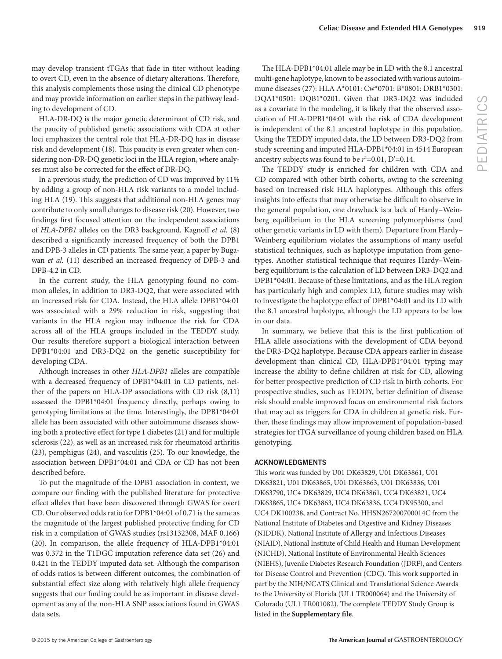may develop transient tTGAs that fade in titer without leading to overt CD, even in the absence of dietary alterations. Therefore, this analysis complements those using the clinical CD phenotype and may provide information on earlier steps in the pathway leading to development of CD.

 HLA-DR-DQ is the major genetic determinant of CD risk, and the paucity of published genetic associations with CDA at other loci emphasizes the central role that HLA-DR-DQ has in disease risk and development (18). This paucity is even greater when considering non-DR-DQ genetic loci in the HLA region, where analyses must also be corrected for the effect of DR-DQ.

 In a previous study, the prediction of CD was improved by 11% by adding a group of non-HLA risk variants to a model including HLA (19). This suggests that additional non-HLA genes may contribute to only small changes to disease risk (20). However, two findings first focused attention on the independent associations of *HLA-DPB1* alleles on the DR3 background. Kagnoff *et al.* (8) described a significantly increased frequency of both the DPB1 and DPB-3 alleles in CD patients. The same year, a paper by Bugawan *et al.* (11) described an increased frequency of DPB-3 and DPB-4.2 in CD.

 In the current study, the HLA genotyping found no common alleles, in addition to DR3-DQ2, that were associated with an increased risk for CDA. Instead, the HLA allele DPB1\*04:01 was associated with a 29% reduction in risk, suggesting that variants in the HLA region may influence the risk for CDA across all of the HLA groups included in the TEDDY study. Our results therefore support a biological interaction between DPB1\*04:01 and DR3-DQ2 on the genetic susceptibility for developing CDA.

 Although increases in other *HLA-DPB1* alleles are compatible with a decreased frequency of DPB1\*04:01 in CD patients, neither of the papers on HLA-DP associations with CD risk  $(8,11)$ assessed the DPB1\*04:01 frequency directly, perhaps owing to genotyping limitations at the time. Interestingly, the DPB1\*04:01 allele has been associated with other autoimmune diseases showing both a protective effect for type 1 diabetes  $(21)$  and for multiple sclerosis (22), as well as an increased risk for rheumatoid arthritis (23), pemphigus (24), and vasculitis (25). To our knowledge, the association between DPB1\*04:01 and CDA or CD has not been described before.

 To put the magnitude of the DPB1 association in context, we compare our finding with the published literature for protective effect alleles that have been discovered through GWAS for overt CD. Our observed odds ratio for DPB1\*04:01 of 0.71 is the same as the magnitude of the largest published protective finding for CD risk in a compilation of GWAS studies (rs13132308, MAF 0.166) (20). In comparison, the allele frequency of HLA-DPB1\*04:01 was 0.372 in the T1DGC imputation reference data set (26) and 0.421 in the TEDDY imputed data set. Although the comparison of odds ratios is between different outcomes, the combination of substantial effect size along with relatively high allele frequency suggests that our finding could be as important in disease development as any of the non-HLA SNP associations found in GWAS data sets.

The HLA-DPB1\*04:01 allele may be in LD with the 8.1 ancestral multi-gene haplotype, known to be associated with various autoimmune diseases (27): HLA A\*0101: Cw\*0701: B\*0801: DRB1\*0301: DQA1\*0501: DQB1\*0201. Given that DR3-DQ2 was included as a covariate in the modeling, it is likely that the observed association of HLA-DPB1\*04:01 with the risk of CDA development is independent of the 8.1 ancestral haplotype in this population. Using the TEDDY imputed data, the LD between DR3-DQ2 from study screening and imputed HLA-DPB1\*04:01 in 4514 European ancestry subjects was found to be  $r^2$ =0.01, D'=0.14.

The TEDDY study is enriched for children with CDA and CD compared with other birth cohorts, owing to the screening based on increased risk HLA haplotypes. Although this offers insights into effects that may otherwise be difficult to observe in the general population, one drawback is a lack of Hardy–Weinberg equilibrium in the HLA screening polymorphisms (and other genetic variants in LD with them). Departure from Hardy– Weinberg equilibrium violates the assumptions of many useful statistical techniques, such as haplotype imputation from genotypes. Another statistical technique that requires Hardy–Weinberg equilibrium is the calculation of LD between DR3-DQ2 and DPB1\*04:01. Because of these limitations, and as the HLA region has particularly high and complex LD, future studies may wish to investigate the haplotype effect of DPB1\*04:01 and its LD with the 8.1 ancestral haplotype, although the LD appears to be low in our data.

In summary, we believe that this is the first publication of HLA allele associations with the development of CDA beyond the DR3-DQ2 haplotype. Because CDA appears earlier in disease development than clinical CD, HLA-DPB1\*04:01 typing may increase the ability to define children at risk for CD, allowing for better prospective prediction of CD risk in birth cohorts. For prospective studies, such as TEDDY, better definition of disease risk should enable improved focus on environmental risk factors that may act as triggers for CDA in children at genetic risk. Further, these findings may allow improvement of population-based strategies for tTGA surveillance of young children based on HLA genotyping.

#### **ACKNOWLEDGMENTS**

This work was funded by U01 DK63829, U01 DK63861, U01 DK63821, U01 DK63865, U01 DK63863, U01 DK63836, U01 DK63790, UC4 DK63829, UC4 DK63861, UC4 DK63821, UC4 DK63865, UC4 DK63863, UC4 DK63836, UC4 DK95300, and UC4 DK100238, and Contract No. HHSN267200700014C from the National Institute of Diabetes and Digestive and Kidney Diseases (NIDDK), National Institute of Allergy and Infectious Diseases (NIAID), National Institute of Child Health and Human Development (NICHD), National Institute of Environmental Health Sciences (NIEHS), Juvenile Diabetes Research Foundation (JDRF), and Centers for Disease Control and Prevention (CDC). This work supported in part by the NIH/NCATS Clinical and Translational Science Awards to the University of Florida (UL1 TR000064) and the University of Colorado (UL1 TR001082). The complete TEDDY Study Group is listed in the **Supplementary file**.